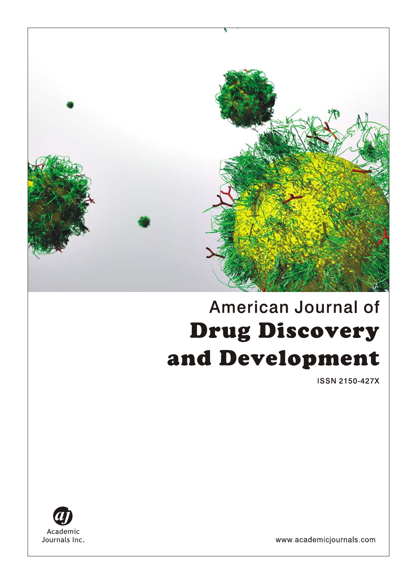

# American Journal of **Drug Discovery** and Development

**ISSN 2150-427X** 



www.academicjournals.com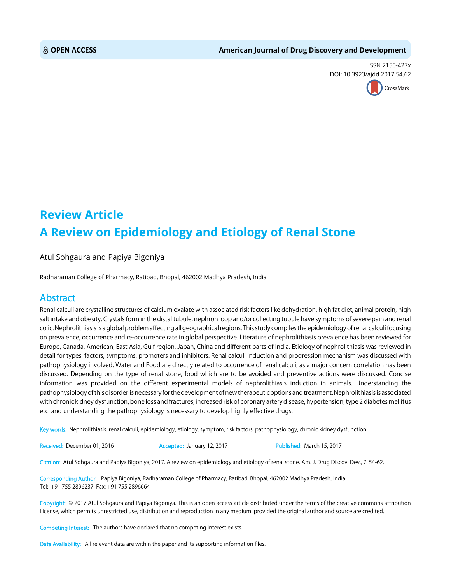#### **OPEN ACCESS American Journal of Drug Discovery and Development**

ISSN 2150-427x DOI: 10.39[23/ajdd.2017.54.62](http://crossmark.crossref.org/dialog/?doi=10.3923/ajdd.2017.54.62&domain=pdf&date_stamp=2017-03-15)



## **Review Article A Review on Epidemiology and Etiology of Renal Stone**

Atul Sohgaura and Papiya Bigoniya

Radharaman College of Pharmacy, Ratibad, Bhopal, 462002 Madhya Pradesh, India

### Abstract

Renal calculi are crystalline structures of calcium oxalate with associated risk factors like dehydration, high fat diet, animal protein, high salt intake and obesity. Crystals form in the distal tubule, nephron loop and/or collecting tubule have symptoms of severe pain and renal colic. Nephrolithiasis is a global problem affecting all geographical regions. This study compiles the epidemiology of renal calculi focusing on prevalence, occurrence and re-occurrence rate in global perspective. Literature of nephrolithiasis prevalence has been reviewed for Europe, Canada, American, East Asia, Gulf region, Japan, China and different parts of India. Etiology of nephrolithiasis was reviewed in detail for types, factors, symptoms, promoters and inhibitors. Renal calculi induction and progression mechanism was discussed with pathophysiology involved. Water and Food are directly related to occurrence of renal calculi, as a major concern correlation has been discussed. Depending on the type of renal stone, food which are to be avoided and preventive actions were discussed. Concise information was provided on the different experimental models of nephrolithiasis induction in animals. Understanding the pathophysiology of this disorder is necessary for the development of new therapeutic options and treatment. Nephrolithiasis is associated with chronic kidney dysfunction, bone loss and fractures, increased risk of coronary artery disease, hypertension, type 2 diabetes mellitus etc. and understanding the pathophysiology is necessary to develop highly effective drugs.

Key words: Nephrolithiasis, renal calculi, epidemiology, etiology, symptom, risk factors, pathophysiology, chronic kidney dysfunction

Received: December 01, 2016 **Accepted: January 12, 2017** Published: March 15, 2017

Citation: Atul Sohgaura and Papiya Bigoniya, 2017. A review on epidemiology and etiology of renal stone. Am. J. Drug Discov. Dev., 7: 54-62.

Corresponding Author: Papiya Bigoniya, Radharaman College of Pharmacy, Ratibad, Bhopal, 462002 Madhya Pradesh, India Tel: +91 755 2896237 Fax: +91 755 2896664

Copyright: © 2017 Atul Sohgaura and Papiya Bigoniya. This is an open access article distributed under the terms of the creative commons attribution License, which permits unrestricted use, distribution and reproduction in any medium, provided the original author and source are credited.

Competing Interest: The authors have declared that no competing interest exists.

Data Availability: All relevant data are within the paper and its supporting information files.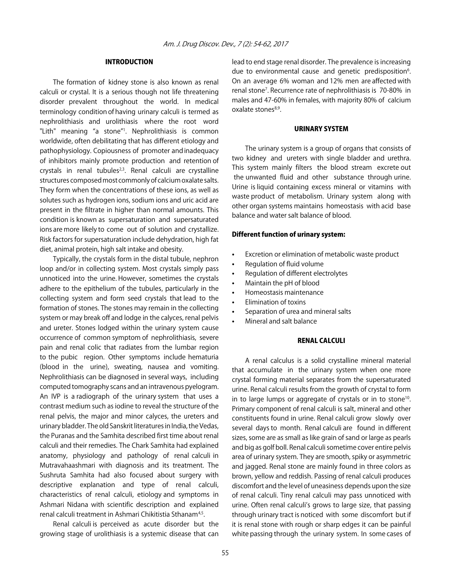#### INTRODUCTION

The formation of kidney stone is also known as renal calculi or crystal. It is a serious though not life threatening disorder prevalent throughout the world. In medical terminology condition of having urinary calculi is termed as nephrolithiasis and urolithiasis where the root word "Lith" meaning "a stone"1 . Nephrolithiasis is common worldwide, often debilitating that has different etiology and pathophysiology. Copiousness of promoter and inadequacy of inhibitors mainly promote production and retention of crystals in renal tubules $2,3$ . Renal calculi are crystalline structures composed most commonly of calcium oxalate salts. They form when the concentrations of these ions, as well as solutes such as hydrogen ions, sodium ions and uric acid are present in the filtrate in higher than normal amounts. This condition is known as supersaturation and supersaturated ions are more likely to come out of solution and crystallize. Risk factors for supersaturation include dehydration, high fat diet, animal protein, high salt intake and obesity.

Typically, the crystals form in the distal tubule, nephron loop and/or in collecting system. Most crystals simply pass unnoticed into the urine. However, sometimes the crystals adhere to the epithelium of the tubules, particularly in the collecting system and form seed crystals that lead to the formation of stones. The stones may remain in the collecting system or may break off and lodge in the calyces, renal pelvis and ureter. Stones lodged within the urinary system cause occurrence of common symptom of nephrolithiasis, severe pain and renal colic that radiates from the lumbar region to the pubic region. Other symptoms include hematuria (blood in the urine), sweating, nausea and vomiting. Nephrolithiasis can be diagnosed in several ways, including computed tomography scans and an intravenous pyelogram. An IVP is a radiograph of the urinary system that uses a contrast medium such as iodine to reveal the structure of the renal pelvis, the major and minor calyces, the ureters and urinary bladder. The old Sanskrit literatures in India, the Vedas, the Puranas and the Samhita described first time about renal calculi and their remedies. The Chark Samhita had explained anatomy, physiology and pathology of renal calculi in Mutravahaashmari with diagnosis and its treatment. The Sushruta Samhita had also focused about surgery with descriptive explanation and type of renal calculi, characteristics of renal calculi, etiology and symptoms in Ashmari Nidana with scientific description and explained renal calculi treatment in Ashmari Chikitistia Sthanam<sup>4,5</sup>.

Renal calculi is perceived as acute disorder but the growing stage of urolithiasis is a systemic disease that can lead to end stage renal disorder. The prevalence is increasing due to environmental cause and genetic predisposition<sup>6</sup>. On an average 6% woman and 12% men are affected with renal stone<sup>7</sup>. Recurrence rate of nephrolithiasis is 70-80% in males and 47-60% in females, with majority 80% of calcium oxalate stones<sup>8,9</sup>.

#### URINARY SYSTEM

The urinary system is a group of organs that consists of two kidney and ureters with single bladder and urethra. This system mainly filters the blood stream excrete out the unwanted fluid and other substance through urine. Urine is liquid containing excess mineral or vitamins with waste product of metabolism. Urinary system along with other organ systems maintains homeostasis with acid base balance and water salt balance of blood.

#### Different function of urinary system:

- Excretion or elimination of metabolic waste product
- Regulation of fluid volume
- Regulation of different electrolytes
- Maintain the pH of blood
- Homeostasis maintenance
- Elimination of toxins
- Separation of urea and mineral salts
- Mineral and salt balance

#### RENAL CALCULI

A renal calculus is a solid crystalline mineral material that accumulate in the urinary system when one more crystal forming material separates from the supersaturated urine. Renal calculi results from the growth of crystal to form in to large lumps or aggregate of crystals or in to stone<sup>10</sup>. Primary component of renal calculi is salt, mineral and other constituents found in urine. Renal calculi grow slowly over several days to month. Renal calculi are found in different sizes, some are as small as like grain of sand or large as pearls and big as golf boll. Renal calculi sometime cover entire pelvis area of urinary system. They are smooth, spiky or asymmetric and jagged. Renal stone are mainly found in three colors as brown, yellow and reddish. Passing of renal calculi produces discomfort and the level of uneasiness depends upon the size of renal calculi. Tiny renal calculi may pass unnoticed with urine. Often renal calculi's grows to large size, that passing through urinary tract is noticed with some discomfort but if it is renal stone with rough or sharp edges it can be painful white passing through the urinary system. In some cases of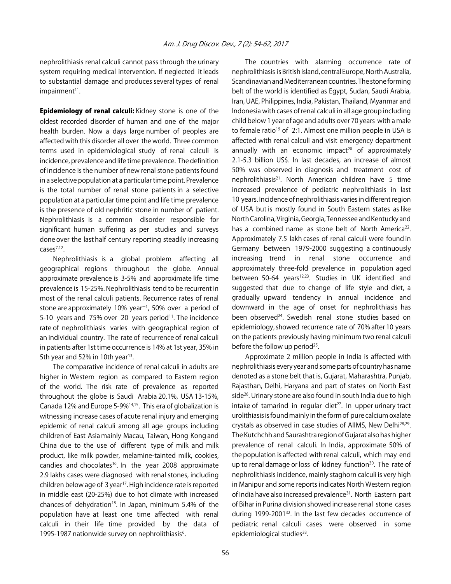nephrolithiasis renal calculi cannot pass through the urinary system requiring medical intervention. If neglected it leads to substantial damage and produces several types of renal  $impairment<sup>11</sup>$ .

**Epidemiology of renal calculi:** Kidney stone is one of the oldest recorded disorder of human and one of the major health burden. Now a days large number of peoples are affected with this disorder all over the world. Three common terms used in epidemiological study of renal calculi is incidence, prevalence and life time prevalence. The definition of incidence is the number of new renal stone patients found in a selective population at a particular time point. Prevalence is the total number of renal stone patients in a selective population at a particular time point and life time prevalence is the presence of old nephritic stone in number of patient. Nephrolithiasis is a common disorder responsible for significant human suffering as per studies and surveys done over the last half century reporting steadily increasing cases7,12.

Nephrolithiasis is a global problem affecting all geographical regions throughout the globe. Annual approximate prevalence is 3-5% and approximate life time prevalence is 15-25%. Nephrolithiasis tend to be recurrent in most of the renal calculi patients. Recurrence rates of renal stone are approximately 10% year<sup>-1</sup>, 50% over a period of 5-10 years and  $75\%$  over 20 years period<sup>11</sup>. The incidence rate of nephrolithiasis varies with geographical region of an individual country. The rate of recurrence of renal calculi in patients after 1st time occurrence is 14% at 1st year, 35% in 5th year and 52% in 10th year<sup>13</sup>.

The comparative incidence of renal calculi in adults are higher in Western region as compared to Eastern region of the world. The risk rate of prevalence as reported throughout the globe is Saudi Arabia 20.1%, USA 13-15%, Canada 12% and Europe 5-9%14,15. This era of globalization is witnessing increase cases of acute renal injury and emerging epidemic of renal calculi among all age groups including children of East Asia mainly Macau, Taiwan, Hong Kong and China due to the use of different type of milk and milk product, like milk powder, melamine-tainted milk, cookies, candies and chocolates<sup>16</sup>. In the year 2008 approximate 2.9 lakhs cases were diagnosed with renal stones, including children below age of 3 year<sup>17</sup>. High incidence rate is reported in middle east (20-25%) due to hot climate with increased chances of dehydration<sup>18</sup>. In Japan, minimum 5.4% of the population have at least one time affected with renal calculi in their life time provided by the data of 1995-1987 nationwide survey on nephrolithiasis<sup>6</sup>.

The countries with alarming occurrence rate of nephrolithiasis is British island, central Europe, North Australia, Scandinavian and Mediterranean countries. The stone forming belt of the world is identified as Egypt, Sudan, Saudi Arabia, Iran, UAE, Philippines, India, Pakistan, Thailand, Myanmar and Indonesia with cases of renal calculi in all age group including child below 1 year of age and adults over 70 years with a male to female ratio<sup>19</sup> of 2:1. Almost one million people in USA is affected with renal calculi and visit emergency department annually with an economic impact<sup>20</sup> of approximately 2.1-5.3 billion US\$. In last decades, an increase of almost 50% was observed in diagnosis and treatment cost of nephrolithiasis<sup>21</sup>. North American children have 5 time increased prevalence of pediatric nephrolithiasis in last 10 years. Incidence of nephrolithiasis varies in different region of USA but is mostly found in South Eastern states as like North Carolina, Virginia, Georgia, Tennessee and Kentucky and has a combined name as stone belt of North America<sup>22</sup>. Approximately 7.5 lakh cases of renal calculi were found in Germany between 1979-2000 suggesting a continuously increasing trend in renal stone occurrence and approximately three-fold prevalence in population aged between 50-64 years $12,23$ . Studies in UK identified and suggested that due to change of life style and diet, a gradually upward tendency in annual incidence and downward in the age of onset for nephrolithiasis has been observed<sup>24</sup>. Swedish renal stone studies based on epidemiology, showed recurrence rate of 70% after 10 years on the patients previously having minimum two renal calculi before the follow up period $25$ .

Approximate 2 million people in India is affected with nephrolithiasis every year and some parts of country has name denoted as a stone belt that is, Gujarat, Maharashtra, Punjab, Rajasthan, Delhi, Haryana and part of states on North East side<sup>26</sup>. Urinary stone are also found in south India due to high intake of tamarind in regular diet $2^7$ . In upper urinary tract urolithiasis is found mainly in the form of pure calcium oxalate crystals as observed in case studies of AIIMS, New Delhi<sup>28,29</sup>. The Kutchchh and Saurashtra region of Gujarat also has higher prevalence of renal calculi. In India, approximate 50% of the population is affected with renal calculi, which may end up to renal damage or loss of kidney function<sup>30</sup>. The rate of nephrolithiasis incidence, mainly staghorn calculi is very high in Manipur and some reports indicates North Western region of India have also increased prevalence<sup>31</sup>. North Eastern part of Bihar in Purina division showed increase renal stone cases during 1999-2001<sup>32</sup>. In the last few decades occurrence of pediatric renal calculi cases were observed in some epidemiological studies<sup>33</sup>.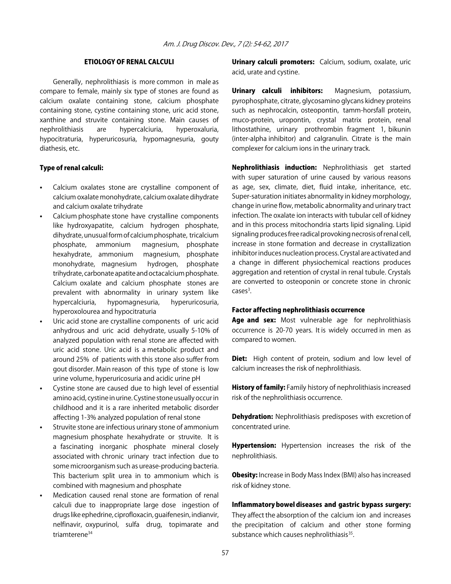#### ETIOLOGY OF RENAL CALCULI

Generally, nephrolithiasis is more common in male as compare to female, mainly six type of stones are found as calcium oxalate containing stone, calcium phosphate containing stone, cystine containing stone, uric acid stone, xanthine and struvite containing stone. Main causes of nephrolithiasis are hypercalciuria, hyperoxaluria, hypocitraturia, hyperuricosuria, hypomagnesuria, gouty diathesis, etc.

#### Type of renal calculi:

- Calcium oxalates stone are crystalline component of calcium oxalate monohydrate, calcium oxalate dihydrate and calcium oxalate trihydrate
- Calcium phosphate stone have crystalline components like hydroxyapatite, calcium hydrogen phosphate, dihydrate, unusual form of calcium phosphate, tricalcium phosphate, ammonium magnesium, phosphate hexahydrate, ammonium magnesium, phosphate monohydrate, magnesium hydrogen, phosphate trihydrate, carbonate apatite and octacalcium phosphate. Calcium oxalate and calcium phosphate stones are prevalent with abnormality in urinary system like hypercalciuria, hypomagnesuria, hyperuricosuria, hyperoxolourea and hypocitraturia
- Uric acid stone are crystalline components of uric acid anhydrous and uric acid dehydrate, usually 5-10% of analyzed population with renal stone are affected with uric acid stone. Uric acid is a metabolic product and around 25% of patients with this stone also suffer from gout disorder. Main reason of this type of stone is low urine volume, hyperuricosuria and acidic urine pH
- Cystine stone are caused due to high level of essential amino acid, cystine in urine. Cystine stone usually occur in childhood and it is a rare inherited metabolic disorder affecting 1-3% analyzed population of renal stone
- Struvite stone are infectious urinary stone of ammonium magnesium phosphate hexahydrate or struvite. It is a fascinating inorganic phosphate mineral closely associated with chronic urinary tract infection due to some microorganism such as urease-producing bacteria. This bacterium split urea in to ammonium which is combined with magnesium and phosphate
- Medication caused renal stone are formation of renal calculi due to inappropriate large dose ingestion of drugs like ephedrine, ciprofloxacin, guaifenesin, indianvir, nelfinavir, oxypurinol, sulfa drug, topimarate and triamterene34

Urinary calculi promoters: Calcium, sodium, oxalate, uric acid, urate and cystine.

Urinary calculi inhibitors: Magnesium, potassium, pyrophosphate, citrate, glycosamino glycans kidney proteins such as nephrocalcin, osteopontin, tamm-horsfall protein, muco-protein, uropontin, crystal matrix protein, renal lithostathine, urinary prothrombin fragment 1, bikunin (inter-alpha inhibitor) and calgranulin. Citrate is the main complexer for calcium ions in the urinary track.

Nephrolithiasis induction: Nephrolithiasis get started with super saturation of urine caused by various reasons as age, sex, climate, diet, fluid intake, inheritance, etc. Super-saturation initiates abnormality in kidney morphology, change in urine flow, metabolic abnormality and urinary tract infection. The oxalate ion interacts with tubular cell of kidney and in this process mitochondria starts lipid signaling. Lipid signaling produces free radical provoking necrosis of renal cell, increase in stone formation and decrease in crystallization inhibitor induces nucleation process. Crystal are activated and a change in different physiochemical reactions produces aggregation and retention of crystal in renal tubule. Crystals are converted to osteoponin or concrete stone in chronic  $casesmath>3$ .

#### Factor affecting nephrolithiasis occurrence

Age and sex: Most vulnerable age for nephrolithiasis occurrence is 20-70 years. It is widely occurred in men as compared to women.

Diet: High content of protein, sodium and low level of calcium increases the risk of nephrolithiasis.

**History of family:** Family history of nephrolithiasis increased risk of the nephrolithiasis occurrence.

**Dehydration:** Nephrolithiasis predisposes with excretion of concentrated urine.

**Hypertension:** Hypertension increases the risk of the nephrolithiasis.

**Obesity:** Increase in Body Mass Index (BMI) also has increased risk of kidney stone.

#### Inflammatory bowel diseases and gastric bypass surgery:

They affect the absorption of the calcium ion and increases the precipitation of calcium and other stone forming substance which causes nephrolithiasis<sup>35</sup>.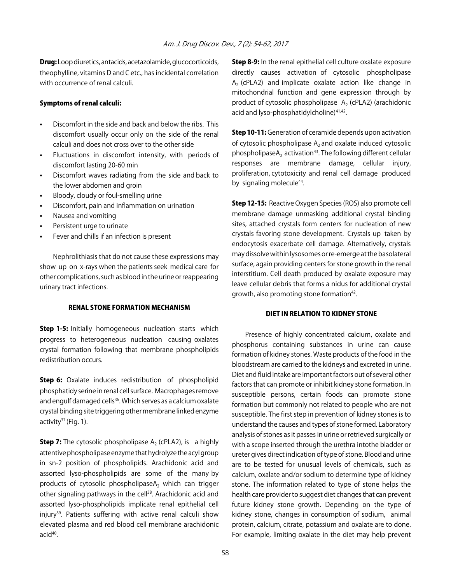Drug: Loop diuretics, antacids, acetazolamide, glucocorticoids, theophylline, vitamins D and C etc., has incidental correlation with occurrence of renal calculi.

#### Symptoms of renal calculi:

- Discomfort in the side and back and below the ribs. This discomfort usually occur only on the side of the renal calculi and does not cross over to the other side
- Fluctuations in discomfort intensity, with periods of discomfort lasting 20-60 min
- Discomfort waves radiating from the side and back to the lower abdomen and groin
- Bloody, cloudy or foul-smelling urine
- Discomfort, pain and inflammation on urination
- Nausea and vomiting
- Persistent urge to urinate
- Fever and chills if an infection is present

Nephrolithiasis that do not cause these expressions may show up on x-rays when the patients seek medical care for other complications, such as blood in the urine or reappearing urinary tract infections.

#### RENAL STONE FORMATION MECHANISM

**Step 1-5:** Initially homogeneous nucleation starts which progress to heterogeneous nucleation causing oxalates crystal formation following that membrane phospholipids redistribution occurs.

**Step 6:** Oxalate induces redistribution of phospholipid phosphatidy serine in renal cell surface. Macrophages remove and engulf damaged cells<sup>36</sup>. Which serves as a calcium oxalate crystal binding site triggering other membrane linked enzyme activity<sup>37</sup> (Fig. 1).

**Step 7:** The cytosolic phospholipase  $A_2$  (cPLA2), is a highly attentive phospholipase enzyme that hydrolyze the acyl group in sn-2 position of phospholipids. Arachidonic acid and assorted lyso-phospholipids are some of the many by products of cytosolic phospholipase $A_2$  which can trigger other signaling pathways in the cell<sup>38</sup>. Arachidonic acid and assorted lyso-phospholipids implicate renal epithelial cell injury<sup>39</sup>. Patients suffering with active renal calculi show elevated plasma and red blood cell membrane arachidonic acid<sup>40</sup>.

Step 8-9: In the renal epithelial cell culture oxalate exposure directly causes activation of cytosolic phospholipase  $A<sub>2</sub>$  (cPLA2) and implicate oxalate action like change in mitochondrial function and gene expression through by product of cytosolic phospholipase  $A_2$  (cPLA2) (arachidonic acid and lyso-phosphatidylcholine)<sup>41,42</sup>.

**Step 10-11:** Generation of ceramide depends upon activation of cytosolic phospholipase  $A_2$  and oxalate induced cytosolic phospholipaseA<sub>2</sub> activation<sup>43</sup>. The following different cellular responses are membrane damage, cellular injury, proliferation, cytotoxicity and renal cell damage produced by signaling molecule<sup>44</sup>.

**Step 12-15:** Reactive Oxygen Species (ROS) also promote cell membrane damage unmasking additional crystal binding sites, attached crystals form centers for nucleation of new crystals favoring stone development. Crystals up taken by endocytosis exacerbate cell damage. Alternatively, crystals may dissolve within lysosomes or re-emerge at the basolateral surface, again providing centers for stone growth in the renal interstitium. Cell death produced by oxalate exposure may leave cellular debris that forms a nidus for additional crystal growth, also promoting stone formation<sup>42</sup>.

#### DIET IN RELATION TO KIDNEY STONE

Presence of highly concentrated calcium, oxalate and phosphorus containing substances in urine can cause formation of kidney stones. Waste products of the food in the bloodstream are carried to the kidneys and excreted in urine. Diet and fluid intake are important factors out of several other factors that can promote or inhibit kidney stone formation. In susceptible persons, certain foods can promote stone formation but commonly not related to people who are not susceptible. The first step in prevention of kidney stones is to understand the causes and types of stone formed. Laboratory analysis of stones as it passes in urine or retrieved surgically or with a scope inserted through the urethra intothe bladder or ureter gives direct indication of type of stone. Blood and urine are to be tested for unusual levels of chemicals, such as calcium, oxalate and/or sodium to determine type of kidney stone. The information related to type of stone helps the health care provider to suggest diet changes that can prevent future kidney stone growth. Depending on the type of kidney stone, changes in consumption of sodium, animal protein, calcium, citrate, potassium and oxalate are to done. For example, limiting oxalate in the diet may help prevent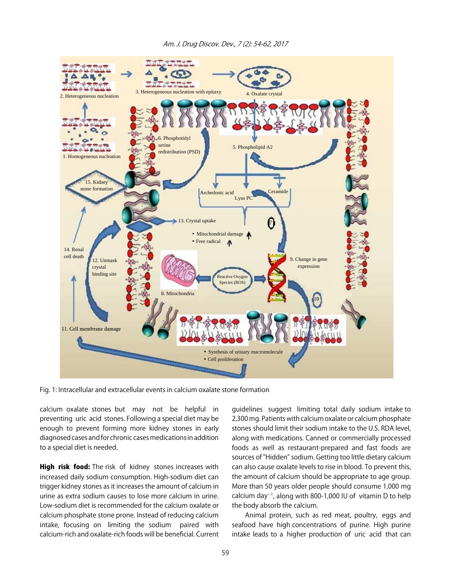

Fig. 1: Intracellular and extracellular events in calcium oxalate stone formation

calcium oxalate stones but may not be helpful in preventing uric acid stones. Following a special diet may be enough to prevent forming more kidney stones in early diagnosed cases and for chronic cases medications in addition to a special diet is needed.

High risk food: The risk of kidney stones increases with increased daily sodium consumption. High-sodium diet can trigger kidney stones as it increases the amount of calcium in urine as extra sodium causes to lose more calcium in urine. Low-sodium diet is recommended for the calcium oxalate or calcium phosphate stone prone. Instead of reducing calcium intake, focusing on limiting the sodium paired with calcium-rich and oxalate-rich foods will be beneficial. Current

guidelines suggest limiting total daily sodium intake to 2,300 mg. Patients with calcium oxalate or calcium phosphate stones should limit their sodium intake to the U.S. RDA level, along with medications. Canned or commercially processed foods as well as restaurant-prepared and fast foods are sources of "Hidden" sodium. Getting too little dietary calcium can also cause oxalate levels to rise in blood. To prevent this, the amount of calcium should be appropriate to age group. More than 50 years older people should consume 1,000 mg calcium day $^{-1}$ , along with 800-1,000 IU of vitamin D to help the body absorb the calcium.

Animal protein, such as red meat, poultry, eggs and seafood have high concentrations of purine. High purine intake leads to a higher production of uric acid that can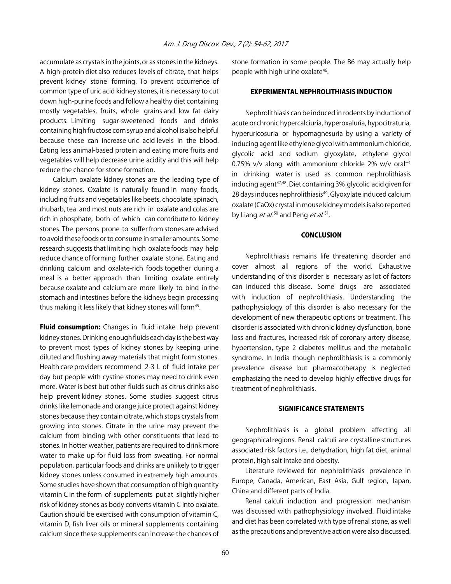accumulate as crystals in the joints, or as stones in the kidneys. A high-protein diet also reduces levels of citrate, that helps prevent kidney stone forming. To prevent occurrence of common type of uric acid kidney stones, it is necessary to cut down high-purine foods and follow a healthy diet containing mostly vegetables, fruits, whole grains and low fat dairy products. Limiting sugar-sweetened foods and drinks containing high fructose corn syrup and alcohol is also helpful because these can increase uric acid levels in the blood. Eating less animal-based protein and eating more fruits and vegetables will help decrease urine acidity and this will help reduce the chance for stone formation.

Calcium oxalate kidney stones are the leading type of kidney stones. Oxalate is naturally found in many foods, including fruits and vegetables like beets, chocolate, spinach, rhubarb, tea and most nuts are rich in oxalate and colas are rich in phosphate, both of which can contribute to kidney stones. The persons prone to suffer from stones are advised to avoid these foods or to consume in smaller amounts. Some research suggests that limiting high oxalate foods may help reduce chance of forming further oxalate stone. Eating and drinking calcium and oxalate-rich foods together during a meal is a better approach than limiting oxalate entirely because oxalate and calcium are more likely to bind in the stomach and intestines before the kidneys begin processing thus making it less likely that kidney stones will form<sup>45</sup>.

Fluid consumption: Changes in fluid intake help prevent kidney stones. Drinking enough fluids each day is the best way to prevent most types of kidney stones by keeping urine diluted and flushing away materials that might form stones. Health care providers recommend 2-3 L of fluid intake per day but people with cystine stones may need to drink even more. Water is best but other fluids such as citrus drinks also help prevent kidney stones. Some studies suggest citrus drinks like lemonade and orange juice protect against kidney stones because they contain citrate, which stops crystals from growing into stones. Citrate in the urine may prevent the calcium from binding with other constituents that lead to stones. In hotter weather, patients are required to drink more water to make up for fluid loss from sweating. For normal population, particular foods and drinks are unlikely to trigger kidney stones unless consumed in extremely high amounts. Some studies have shown that consumption of high quantity vitamin C in the form of supplements put at slightly higher risk of kidney stones as body converts vitamin C into oxalate. Caution should be exercised with consumption of vitamin C, vitamin D, fish liver oils or mineral supplements containing calcium since these supplements can increase the chances of

stone formation in some people. The B6 may actually help people with high urine oxalate<sup>46</sup>.

#### EXPERIMENTAL NEPHROLITHIASIS INDUCTION

Nephrolithiasis can be induced in rodents by induction of acute or chronic hypercalciuria, hyperoxaluria, hypocitraturia, hyperuricosuria or hypomagnesuria by using a variety of inducing agent like ethylene glycol with ammonium chloride, glycolic acid and sodium glyoxylate, ethylene glycol 0.75% v/v along with ammonium chloride 2% w/v oral<sup>-1</sup> in drinking water is used as common nephrolithiasis inducing agent<sup>47,48</sup>. Diet containing 3% glycolic acid given for 28 days induces nephrolithiasis<sup>49</sup>. Glyoxylate induced calcium oxalate (CaOx) crystal in mouse kidney models is also reported by Liang *et al*.<sup>50</sup> and Peng *et al*.<sup>51</sup>.

#### **CONCLUSION**

Nephrolithiasis remains life threatening disorder and cover almost all regions of the world. Exhaustive understanding of this disorder is necessary as lot of factors can induced this disease. Some drugs are associated with induction of nephrolithiasis. Understanding the pathophysiology of this disorder is also necessary for the development of new therapeutic options or treatment. This disorder is associated with chronic kidney dysfunction, bone loss and fractures, increased risk of coronary artery disease, hypertension, type 2 diabetes mellitus and the metabolic syndrome. In India though nephrolithiasis is a commonly prevalence disease but pharmacotherapy is neglected emphasizing the need to develop highly effective drugs for treatment of nephrolithiasis.

#### SIGNIFICANCE STATEMENTS

Nephrolithiasis is a global problem affecting all geographical regions. Renal calculi are crystalline structures associated risk factors i.e., dehydration, high fat diet, animal protein, high salt intake and obesity.

Literature reviewed for nephrolithiasis prevalence in Europe, Canada, American, East Asia, Gulf region, Japan, China and different parts of India.

Renal calculi induction and progression mechanism was discussed with pathophysiology involved. Fluid intake and diet has been correlated with type of renal stone, as well as the precautions and preventive action were also discussed.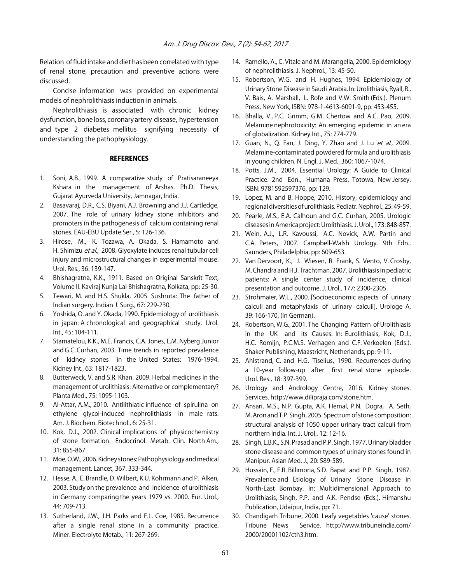Relation of fluid intake and diet has been correlated with type of renal stone, precaution and preventive actions were discussed.

Concise information was provided on experimental models of nephrolithiasis induction in animals.

Nephrolithiasis is associated with chronic kidney dysfunction, bone loss, coronary artery disease, hypertension and type 2 diabetes mellitus signifying necessity of understanding the pathophysiology.

#### **REFERENCES**

- 1. Soni, A.B., 1999. A comparative study of Pratisaraneeya Kshara in the management of Arshas. Ph.D. Thesis, Gujarat Ayurveda University, Jamnagar, India.
- 2. Basavaraj, D.R., C.S. Biyani, A.J. Browning and J.J. Cartledge, 2007. The role of urinary kidney stone inhibitors and promoters in the pathogenesis of calcium containing renal stones. EAU-EBU Update Ser., 5: 126-136.
- 3. Hirose, M., K. Tozawa, A. Okada, S. Hamamoto and H. Shimizu et al., 2008. Glyoxylate induces renal tubular cell injury and microstructural changes in experimental mouse. Urol. Res., 36: 139-147.
- 4. Bhishagratna, K.K., 1911. Based on Original Sanskrit Text, Volume II. Kaviraj Kunja Lal Bhishagratna, Kolkata, pp: 25-30.
- 5. Tewari, M. and H.S. Shukla, 2005. Sushruta: The father of Indian surgery. Indian J. Surg., 67: 229-230.
- 6. Yoshida, O. and Y. Okada, 1990. Epidemiology of urolithiasis in japan: A chronological and geographical study. Urol. Int., 45: 104-111.
- 7. Stamatelou, K.K., M.E. Francis, C.A. Jones, L.M. Nyberg Junior and G.C. Curhan, 2003. Time trends in reported prevalence of kidney stones in the United States: 1976-1994. Kidney Int., 63: 1817-1823.
- 8. Butterweck, V. and S.R. Khan, 2009. Herbal medicines in the management of urolithiasis: Alternative or complementary? Planta Med., 75: 1095-1103.
- 9. Al-Attar, A.M., 2010. Antilithiatic influence of spirulina on ethylene glycol-induced nephrolithiasis in male rats. Am. J. Biochem. Biotechnol., 6: 25-31.
- 10. Kok, D.J., 2002. Clinical implications of physicochemistry of stone formation. Endocrinol. Metab. Clin. North Am., 31: 855-867.
- 11. Moe, O.W., 2006. Kidney stones: Pathophysiology and medical management. Lancet, 367: 333-344.
- 12. Hesse, A., E. Brandle, D. Wilbert, K.U. Kohrmann and P. Alken, 2003. Study on the prevalence and incidence of urolithiasis in Germany comparing the years 1979 vs. 2000. Eur. Urol., 44: 709-713.
- 13. Sutherland, J.W., J.H. Parks and F.L. Coe, 1985. Recurrence after a single renal stone in a community practice. Miner. Electrolyte Metab., 11: 267-269.
- 14. Ramello, A., C. Vitale and M. Marangella, 2000. Epidemiology of nephrolithiasis. J. Nephrol., 13: 45-50.
- 15. Robertson, W.G. and H. Hughes, 1994. Epidemiology of Urinary Stone Disease in Saudi Arabia. In: Urolithiasis, Ryall, R., V. Bais, A. Marshall, L. Rofe and V.W. Smith (Eds.). Plenum Press, New York, ISBN: 978-1-4613-6091-9, pp: 453-455.
- 16. Bhalla, V., P.C. Grimm, G.M. Chertow and A.C. Pao, 2009. Melamine nephrotoxicity: An emerging epidemic in an era of globalization. Kidney Int., 75: 774-779.
- 17. Guan, N., Q. Fan, J. Ding, Y. Zhao and J. Lu et al., 2009. Melamine-contaminated powdered formula and urolithiasis in young children. N. Engl. J. Med., 360: 1067-1074.
- 18. Potts, J.M., 2004. Essential Urology: A Guide to Clinical Practice. 2nd Edn., Humana Press, Totowa, New Jersey, ISBN: 9781592597376, pp: 129.
- 19. Lopez, M. and B. Hoppe, 2010. History, epidemiology and regional diversities of urolithiasis. Pediatr. Nephrol., 25: 49-59.
- 20. Pearle, M.S., E.A. Calhoun and G.C. Curhan, 2005. Urologic diseases in America project: Urolithiasis. J. Urol., 173: 848-857.
- 21. Wein, A.J., L.R. Kavoussi, A.C. Novick, A.W. Partin and C.A. Peters, 2007. Campbell-Walsh Urology. 9th Edn., Saunders, Philadelphia, pp: 609-653.
- 22. Van Dervoort, K., J. Wiesen, R. Frank, S. Vento, V. Crosby, M. Chandra and H.J. Trachtman, 2007. Urolithiasis in pediatric patients: A single center study of incidence, clinical presentation and outcome. J. Urol., 177: 2300-2305.
- 23. Strohmaier, W.L., 2000. [Socioeconomic aspects of urinary calculi and metaphylaxis of urinary calculi]. Urologe A, 39: 166-170, (In German).
- 24. Robertson, W.G., 2001. The Changing Pattern of Urolithiasis in the UK and its Causes. In: Eurolithiasis, Kok, D.J., H.C. Romijn, P.C.M.S. Verhagen and C.F. Verkoelen (Eds.). Shaker Publishing, Maastricht, Netherlands, pp: 9-11.
- 25. Ahlstrand, C. and H.G. Tiselius, 1990. Recurrences during a 10-year follow-up after first renal stone episode. Urol. Res., 18: 397-399.
- 26. Urology and Andrology Centre, 2016. Kidney stones. Services. http://www.dilipraja.com/stone.htm.
- 27. Ansari, M.S., N.P. Gupta, A.K. Hemal, P.N. Dogra, A. Seth, M. Aron and T.P. Singh, 2005. Spectrum of stone composition: structural analysis of 1050 upper urinary tract calculi from northern India. Int. J. Urol., 12: 12-16.
- 28. Singh, L.B.K., S.N. Prasad and P.P. Singh, 1977. Urinary bladder stone disease and common types of urinary stones found in Manipur. Asian Med. J., 20: 589-589.
- 29. Hussain, F., F.R. Billimoria, S.D. Bapat and P.P. Singh, 1987. Prevalence and Etiology of Urinary Stone Disease in North-East Bombay. In: Multidimensional Approach to Urolithiasis, Singh, P.P. and A.K. Pendse (Eds.). Himanshu Publication, Udaipur, India, pp: 71.
- 30. Chandigarh Tribune, 2000. Leafy vegetables 'cause' stones. Tribune News Service. http://www.tribuneindia.com/ 2000/20001102/cth3.htm.